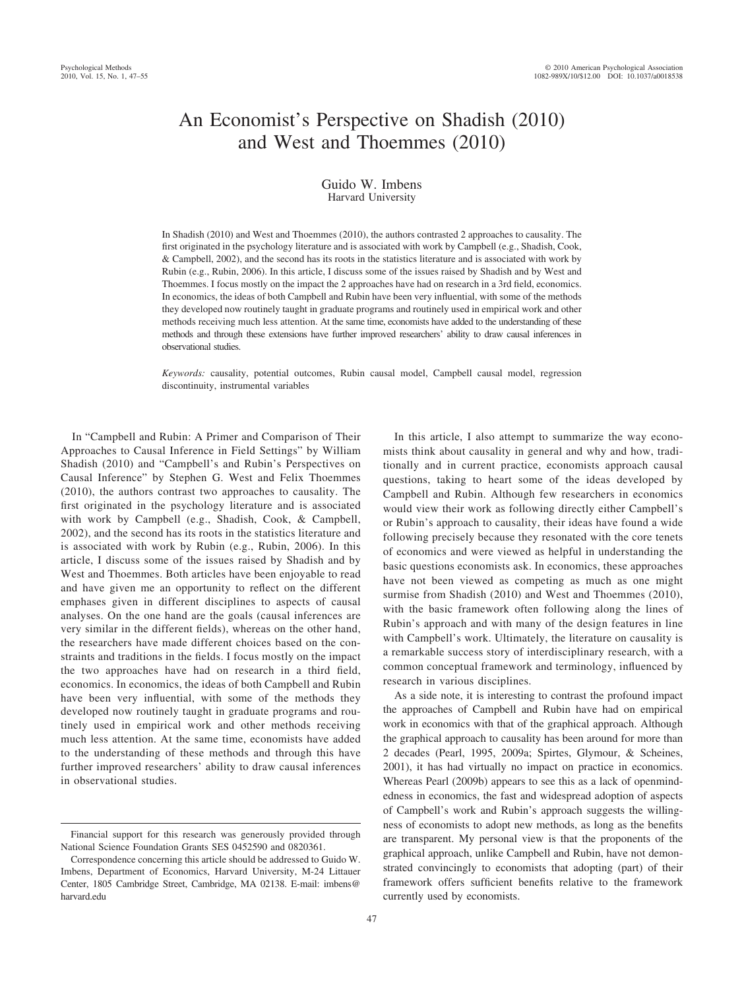# An Economist's Perspective on Shadish (2010) and West and Thoemmes (2010)

# Guido W. Imbens Harvard University

In Shadish (2010) and West and Thoemmes (2010), the authors contrasted 2 approaches to causality. The first originated in the psychology literature and is associated with work by Campbell (e.g., Shadish, Cook, & Campbell, 2002), and the second has its roots in the statistics literature and is associated with work by Rubin (e.g., Rubin, 2006). In this article, I discuss some of the issues raised by Shadish and by West and Thoemmes. I focus mostly on the impact the 2 approaches have had on research in a 3rd field, economics. In economics, the ideas of both Campbell and Rubin have been very influential, with some of the methods they developed now routinely taught in graduate programs and routinely used in empirical work and other methods receiving much less attention. At the same time, economists have added to the understanding of these methods and through these extensions have further improved researchers' ability to draw causal inferences in observational studies.

*Keywords:* causality, potential outcomes, Rubin causal model, Campbell causal model, regression discontinuity, instrumental variables

In "Campbell and Rubin: A Primer and Comparison of Their Approaches to Causal Inference in Field Settings" by William Shadish (2010) and "Campbell's and Rubin's Perspectives on Causal Inference" by Stephen G. West and Felix Thoemmes (2010), the authors contrast two approaches to causality. The first originated in the psychology literature and is associated with work by Campbell (e.g., Shadish, Cook, & Campbell, 2002), and the second has its roots in the statistics literature and is associated with work by Rubin (e.g., Rubin, 2006). In this article, I discuss some of the issues raised by Shadish and by West and Thoemmes. Both articles have been enjoyable to read and have given me an opportunity to reflect on the different emphases given in different disciplines to aspects of causal analyses. On the one hand are the goals (causal inferences are very similar in the different fields), whereas on the other hand, the researchers have made different choices based on the constraints and traditions in the fields. I focus mostly on the impact the two approaches have had on research in a third field, economics. In economics, the ideas of both Campbell and Rubin have been very influential, with some of the methods they developed now routinely taught in graduate programs and routinely used in empirical work and other methods receiving much less attention. At the same time, economists have added to the understanding of these methods and through this have further improved researchers' ability to draw causal inferences in observational studies.

In this article, I also attempt to summarize the way economists think about causality in general and why and how, traditionally and in current practice, economists approach causal questions, taking to heart some of the ideas developed by Campbell and Rubin. Although few researchers in economics would view their work as following directly either Campbell's or Rubin's approach to causality, their ideas have found a wide following precisely because they resonated with the core tenets of economics and were viewed as helpful in understanding the basic questions economists ask. In economics, these approaches have not been viewed as competing as much as one might surmise from Shadish (2010) and West and Thoemmes (2010), with the basic framework often following along the lines of Rubin's approach and with many of the design features in line with Campbell's work. Ultimately, the literature on causality is a remarkable success story of interdisciplinary research, with a common conceptual framework and terminology, influenced by research in various disciplines.

As a side note, it is interesting to contrast the profound impact the approaches of Campbell and Rubin have had on empirical work in economics with that of the graphical approach. Although the graphical approach to causality has been around for more than 2 decades (Pearl, 1995, 2009a; Spirtes, Glymour, & Scheines, 2001), it has had virtually no impact on practice in economics. Whereas Pearl (2009b) appears to see this as a lack of openmindedness in economics, the fast and widespread adoption of aspects of Campbell's work and Rubin's approach suggests the willingness of economists to adopt new methods, as long as the benefits are transparent. My personal view is that the proponents of the graphical approach, unlike Campbell and Rubin, have not demonstrated convincingly to economists that adopting (part) of their framework offers sufficient benefits relative to the framework currently used by economists.

Financial support for this research was generously provided through National Science Foundation Grants SES 0452590 and 0820361.

Correspondence concerning this article should be addressed to Guido W. Imbens, Department of Economics, Harvard University, M-24 Littauer Center, 1805 Cambridge Street, Cambridge, MA 02138. E-mail: imbens@ harvard.edu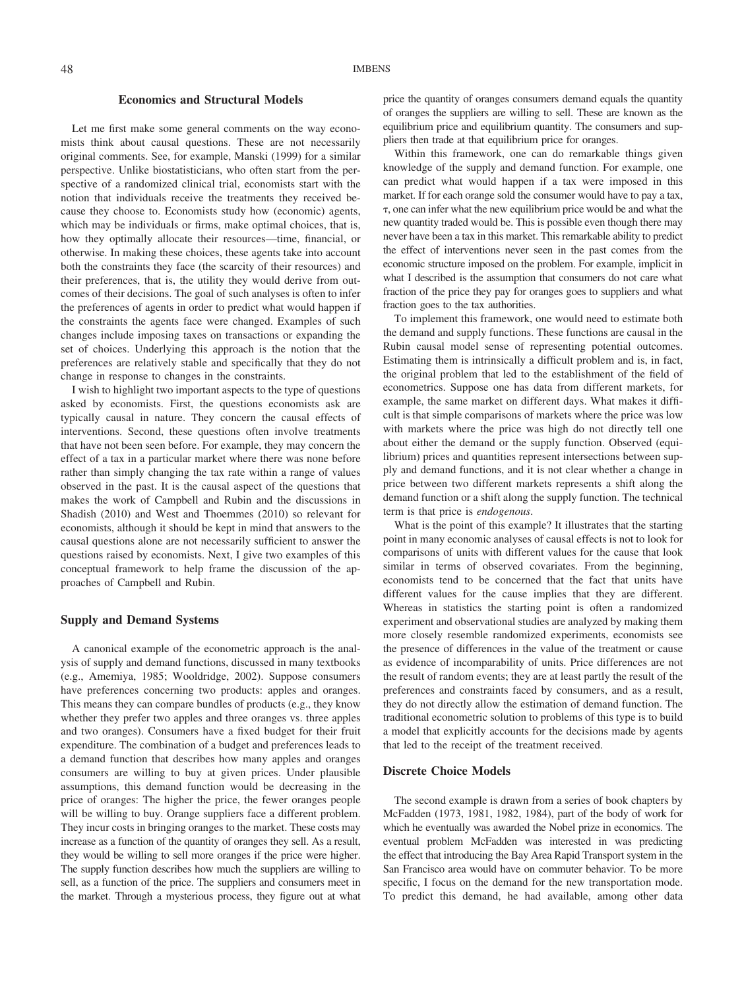# **Economics and Structural Models**

Let me first make some general comments on the way economists think about causal questions. These are not necessarily original comments. See, for example, Manski (1999) for a similar perspective. Unlike biostatisticians, who often start from the perspective of a randomized clinical trial, economists start with the notion that individuals receive the treatments they received because they choose to. Economists study how (economic) agents, which may be individuals or firms, make optimal choices, that is, how they optimally allocate their resources—time, financial, or otherwise. In making these choices, these agents take into account both the constraints they face (the scarcity of their resources) and their preferences, that is, the utility they would derive from outcomes of their decisions. The goal of such analyses is often to infer the preferences of agents in order to predict what would happen if the constraints the agents face were changed. Examples of such changes include imposing taxes on transactions or expanding the set of choices. Underlying this approach is the notion that the preferences are relatively stable and specifically that they do not change in response to changes in the constraints.

I wish to highlight two important aspects to the type of questions asked by economists. First, the questions economists ask are typically causal in nature. They concern the causal effects of interventions. Second, these questions often involve treatments that have not been seen before. For example, they may concern the effect of a tax in a particular market where there was none before rather than simply changing the tax rate within a range of values observed in the past. It is the causal aspect of the questions that makes the work of Campbell and Rubin and the discussions in Shadish (2010) and West and Thoemmes (2010) so relevant for economists, although it should be kept in mind that answers to the causal questions alone are not necessarily sufficient to answer the questions raised by economists. Next, I give two examples of this conceptual framework to help frame the discussion of the approaches of Campbell and Rubin.

### **Supply and Demand Systems**

A canonical example of the econometric approach is the analysis of supply and demand functions, discussed in many textbooks (e.g., Amemiya, 1985; Wooldridge, 2002). Suppose consumers have preferences concerning two products: apples and oranges. This means they can compare bundles of products (e.g., they know whether they prefer two apples and three oranges vs. three apples and two oranges). Consumers have a fixed budget for their fruit expenditure. The combination of a budget and preferences leads to a demand function that describes how many apples and oranges consumers are willing to buy at given prices. Under plausible assumptions, this demand function would be decreasing in the price of oranges: The higher the price, the fewer oranges people will be willing to buy. Orange suppliers face a different problem. They incur costs in bringing oranges to the market. These costs may increase as a function of the quantity of oranges they sell. As a result, they would be willing to sell more oranges if the price were higher. The supply function describes how much the suppliers are willing to sell, as a function of the price. The suppliers and consumers meet in the market. Through a mysterious process, they figure out at what price the quantity of oranges consumers demand equals the quantity of oranges the suppliers are willing to sell. These are known as the equilibrium price and equilibrium quantity. The consumers and suppliers then trade at that equilibrium price for oranges.

Within this framework, one can do remarkable things given knowledge of the supply and demand function. For example, one can predict what would happen if a tax were imposed in this market. If for each orange sold the consumer would have to pay a tax, , one can infer what the new equilibrium price would be and what the new quantity traded would be. This is possible even though there may never have been a tax in this market. This remarkable ability to predict the effect of interventions never seen in the past comes from the economic structure imposed on the problem. For example, implicit in what I described is the assumption that consumers do not care what fraction of the price they pay for oranges goes to suppliers and what fraction goes to the tax authorities.

To implement this framework, one would need to estimate both the demand and supply functions. These functions are causal in the Rubin causal model sense of representing potential outcomes. Estimating them is intrinsically a difficult problem and is, in fact, the original problem that led to the establishment of the field of econometrics. Suppose one has data from different markets, for example, the same market on different days. What makes it difficult is that simple comparisons of markets where the price was low with markets where the price was high do not directly tell one about either the demand or the supply function. Observed (equilibrium) prices and quantities represent intersections between supply and demand functions, and it is not clear whether a change in price between two different markets represents a shift along the demand function or a shift along the supply function. The technical term is that price is *endogenous*.

What is the point of this example? It illustrates that the starting point in many economic analyses of causal effects is not to look for comparisons of units with different values for the cause that look similar in terms of observed covariates. From the beginning, economists tend to be concerned that the fact that units have different values for the cause implies that they are different. Whereas in statistics the starting point is often a randomized experiment and observational studies are analyzed by making them more closely resemble randomized experiments, economists see the presence of differences in the value of the treatment or cause as evidence of incomparability of units. Price differences are not the result of random events; they are at least partly the result of the preferences and constraints faced by consumers, and as a result, they do not directly allow the estimation of demand function. The traditional econometric solution to problems of this type is to build a model that explicitly accounts for the decisions made by agents that led to the receipt of the treatment received.

#### **Discrete Choice Models**

The second example is drawn from a series of book chapters by McFadden (1973, 1981, 1982, 1984), part of the body of work for which he eventually was awarded the Nobel prize in economics. The eventual problem McFadden was interested in was predicting the effect that introducing the Bay Area Rapid Transport system in the San Francisco area would have on commuter behavior. To be more specific, I focus on the demand for the new transportation mode. To predict this demand, he had available, among other data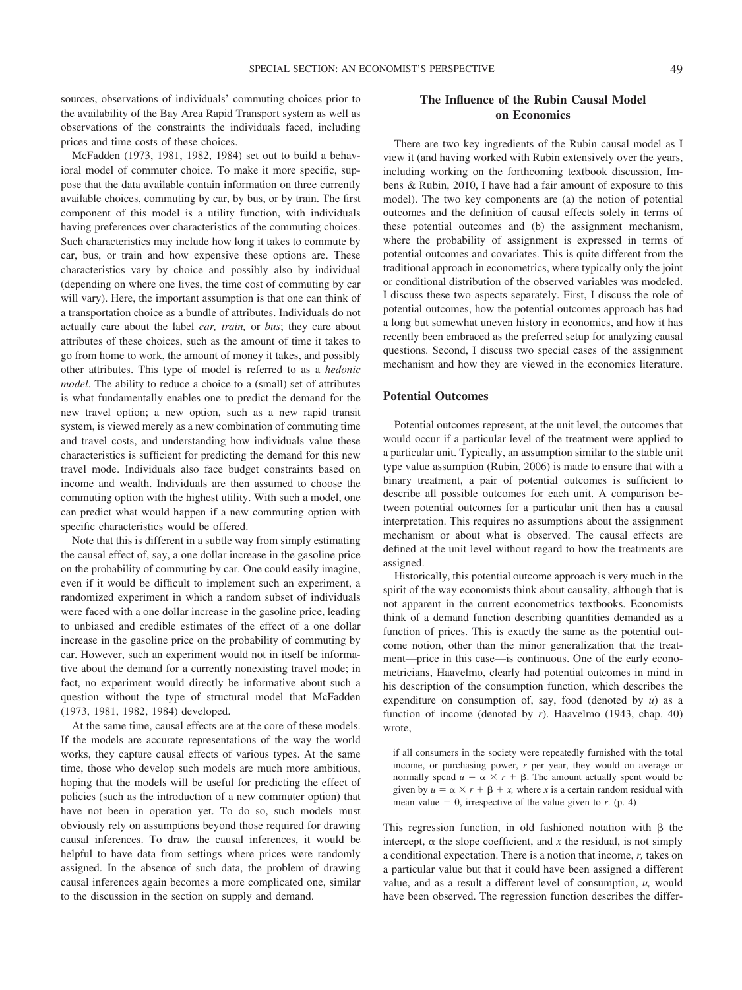sources, observations of individuals' commuting choices prior to the availability of the Bay Area Rapid Transport system as well as observations of the constraints the individuals faced, including prices and time costs of these choices.

McFadden (1973, 1981, 1982, 1984) set out to build a behavioral model of commuter choice. To make it more specific, suppose that the data available contain information on three currently available choices, commuting by car, by bus, or by train. The first component of this model is a utility function, with individuals having preferences over characteristics of the commuting choices. Such characteristics may include how long it takes to commute by car, bus, or train and how expensive these options are. These characteristics vary by choice and possibly also by individual (depending on where one lives, the time cost of commuting by car will vary). Here, the important assumption is that one can think of a transportation choice as a bundle of attributes. Individuals do not actually care about the label *car, train,* or *bus*; they care about attributes of these choices, such as the amount of time it takes to go from home to work, the amount of money it takes, and possibly other attributes. This type of model is referred to as a *hedonic model*. The ability to reduce a choice to a (small) set of attributes is what fundamentally enables one to predict the demand for the new travel option; a new option, such as a new rapid transit system, is viewed merely as a new combination of commuting time and travel costs, and understanding how individuals value these characteristics is sufficient for predicting the demand for this new travel mode. Individuals also face budget constraints based on income and wealth. Individuals are then assumed to choose the commuting option with the highest utility. With such a model, one can predict what would happen if a new commuting option with specific characteristics would be offered.

Note that this is different in a subtle way from simply estimating the causal effect of, say, a one dollar increase in the gasoline price on the probability of commuting by car. One could easily imagine, even if it would be difficult to implement such an experiment, a randomized experiment in which a random subset of individuals were faced with a one dollar increase in the gasoline price, leading to unbiased and credible estimates of the effect of a one dollar increase in the gasoline price on the probability of commuting by car. However, such an experiment would not in itself be informative about the demand for a currently nonexisting travel mode; in fact, no experiment would directly be informative about such a question without the type of structural model that McFadden (1973, 1981, 1982, 1984) developed.

At the same time, causal effects are at the core of these models. If the models are accurate representations of the way the world works, they capture causal effects of various types. At the same time, those who develop such models are much more ambitious, hoping that the models will be useful for predicting the effect of policies (such as the introduction of a new commuter option) that have not been in operation yet. To do so, such models must obviously rely on assumptions beyond those required for drawing causal inferences. To draw the causal inferences, it would be helpful to have data from settings where prices were randomly assigned. In the absence of such data, the problem of drawing causal inferences again becomes a more complicated one, similar to the discussion in the section on supply and demand.

# **The Influence of the Rubin Causal Model on Economics**

There are two key ingredients of the Rubin causal model as I view it (and having worked with Rubin extensively over the years, including working on the forthcoming textbook discussion, Imbens & Rubin, 2010, I have had a fair amount of exposure to this model). The two key components are (a) the notion of potential outcomes and the definition of causal effects solely in terms of these potential outcomes and (b) the assignment mechanism, where the probability of assignment is expressed in terms of potential outcomes and covariates. This is quite different from the traditional approach in econometrics, where typically only the joint or conditional distribution of the observed variables was modeled. I discuss these two aspects separately. First, I discuss the role of potential outcomes, how the potential outcomes approach has had a long but somewhat uneven history in economics, and how it has recently been embraced as the preferred setup for analyzing causal questions. Second, I discuss two special cases of the assignment mechanism and how they are viewed in the economics literature.

#### **Potential Outcomes**

Potential outcomes represent, at the unit level, the outcomes that would occur if a particular level of the treatment were applied to a particular unit. Typically, an assumption similar to the stable unit type value assumption (Rubin, 2006) is made to ensure that with a binary treatment, a pair of potential outcomes is sufficient to describe all possible outcomes for each unit. A comparison between potential outcomes for a particular unit then has a causal interpretation. This requires no assumptions about the assignment mechanism or about what is observed. The causal effects are defined at the unit level without regard to how the treatments are assigned.

Historically, this potential outcome approach is very much in the spirit of the way economists think about causality, although that is not apparent in the current econometrics textbooks. Economists think of a demand function describing quantities demanded as a function of prices. This is exactly the same as the potential outcome notion, other than the minor generalization that the treatment—price in this case—is continuous. One of the early econometricians, Haavelmo, clearly had potential outcomes in mind in his description of the consumption function, which describes the expenditure on consumption of, say, food (denoted by *u*) as a function of income (denoted by *r*). Haavelmo (1943, chap. 40) wrote,

if all consumers in the society were repeatedly furnished with the total income, or purchasing power, *r* per year, they would on average or normally spend  $\bar{u} = \alpha \times r + \beta$ . The amount actually spent would be given by  $u = \alpha \times r + \beta + x$ , where *x* is a certain random residual with mean value  $= 0$ , irrespective of the value given to *r*. (p. 4)

This regression function, in old fashioned notation with  $\beta$  the intercept,  $\alpha$  the slope coefficient, and *x* the residual, is not simply a conditional expectation. There is a notion that income, *r,* takes on a particular value but that it could have been assigned a different value, and as a result a different level of consumption, *u,* would have been observed. The regression function describes the differ-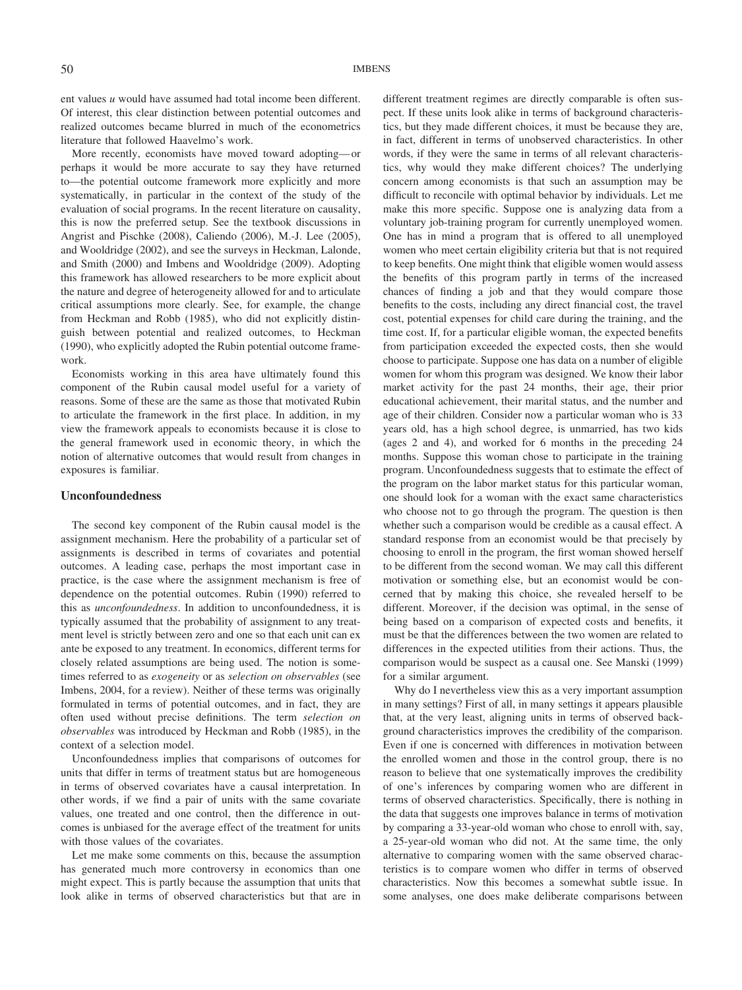ent values *u* would have assumed had total income been different. Of interest, this clear distinction between potential outcomes and realized outcomes became blurred in much of the econometrics literature that followed Haavelmo's work.

More recently, economists have moved toward adopting—or perhaps it would be more accurate to say they have returned to—the potential outcome framework more explicitly and more systematically, in particular in the context of the study of the evaluation of social programs. In the recent literature on causality, this is now the preferred setup. See the textbook discussions in Angrist and Pischke (2008), Caliendo (2006), M.-J. Lee (2005), and Wooldridge (2002), and see the surveys in Heckman, Lalonde, and Smith (2000) and Imbens and Wooldridge (2009). Adopting this framework has allowed researchers to be more explicit about the nature and degree of heterogeneity allowed for and to articulate critical assumptions more clearly. See, for example, the change from Heckman and Robb (1985), who did not explicitly distinguish between potential and realized outcomes, to Heckman (1990), who explicitly adopted the Rubin potential outcome framework.

Economists working in this area have ultimately found this component of the Rubin causal model useful for a variety of reasons. Some of these are the same as those that motivated Rubin to articulate the framework in the first place. In addition, in my view the framework appeals to economists because it is close to the general framework used in economic theory, in which the notion of alternative outcomes that would result from changes in exposures is familiar.

#### **Unconfoundedness**

The second key component of the Rubin causal model is the assignment mechanism. Here the probability of a particular set of assignments is described in terms of covariates and potential outcomes. A leading case, perhaps the most important case in practice, is the case where the assignment mechanism is free of dependence on the potential outcomes. Rubin (1990) referred to this as *unconfoundedness*. In addition to unconfoundedness, it is typically assumed that the probability of assignment to any treatment level is strictly between zero and one so that each unit can ex ante be exposed to any treatment. In economics, different terms for closely related assumptions are being used. The notion is sometimes referred to as *exogeneity* or as *selection on observables* (see Imbens, 2004, for a review). Neither of these terms was originally formulated in terms of potential outcomes, and in fact, they are often used without precise definitions. The term *selection on observables* was introduced by Heckman and Robb (1985), in the context of a selection model.

Unconfoundedness implies that comparisons of outcomes for units that differ in terms of treatment status but are homogeneous in terms of observed covariates have a causal interpretation. In other words, if we find a pair of units with the same covariate values, one treated and one control, then the difference in outcomes is unbiased for the average effect of the treatment for units with those values of the covariates.

Let me make some comments on this, because the assumption has generated much more controversy in economics than one might expect. This is partly because the assumption that units that look alike in terms of observed characteristics but that are in different treatment regimes are directly comparable is often suspect. If these units look alike in terms of background characteristics, but they made different choices, it must be because they are, in fact, different in terms of unobserved characteristics. In other words, if they were the same in terms of all relevant characteristics, why would they make different choices? The underlying concern among economists is that such an assumption may be difficult to reconcile with optimal behavior by individuals. Let me make this more specific. Suppose one is analyzing data from a voluntary job-training program for currently unemployed women. One has in mind a program that is offered to all unemployed women who meet certain eligibility criteria but that is not required to keep benefits. One might think that eligible women would assess the benefits of this program partly in terms of the increased chances of finding a job and that they would compare those benefits to the costs, including any direct financial cost, the travel cost, potential expenses for child care during the training, and the time cost. If, for a particular eligible woman, the expected benefits from participation exceeded the expected costs, then she would choose to participate. Suppose one has data on a number of eligible women for whom this program was designed. We know their labor market activity for the past 24 months, their age, their prior educational achievement, their marital status, and the number and age of their children. Consider now a particular woman who is 33 years old, has a high school degree, is unmarried, has two kids (ages 2 and 4), and worked for 6 months in the preceding 24 months. Suppose this woman chose to participate in the training program. Unconfoundedness suggests that to estimate the effect of the program on the labor market status for this particular woman, one should look for a woman with the exact same characteristics who choose not to go through the program. The question is then whether such a comparison would be credible as a causal effect. A standard response from an economist would be that precisely by choosing to enroll in the program, the first woman showed herself to be different from the second woman. We may call this different motivation or something else, but an economist would be concerned that by making this choice, she revealed herself to be different. Moreover, if the decision was optimal, in the sense of being based on a comparison of expected costs and benefits, it must be that the differences between the two women are related to differences in the expected utilities from their actions. Thus, the comparison would be suspect as a causal one. See Manski (1999) for a similar argument.

Why do I nevertheless view this as a very important assumption in many settings? First of all, in many settings it appears plausible that, at the very least, aligning units in terms of observed background characteristics improves the credibility of the comparison. Even if one is concerned with differences in motivation between the enrolled women and those in the control group, there is no reason to believe that one systematically improves the credibility of one's inferences by comparing women who are different in terms of observed characteristics. Specifically, there is nothing in the data that suggests one improves balance in terms of motivation by comparing a 33-year-old woman who chose to enroll with, say, a 25-year-old woman who did not. At the same time, the only alternative to comparing women with the same observed characteristics is to compare women who differ in terms of observed characteristics. Now this becomes a somewhat subtle issue. In some analyses, one does make deliberate comparisons between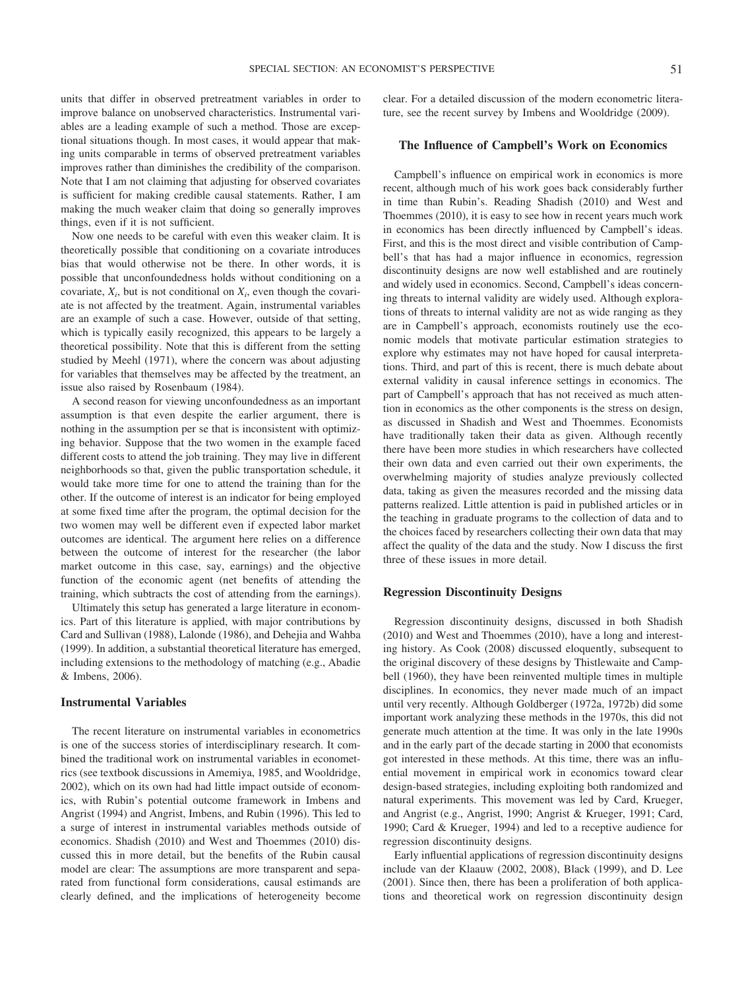units that differ in observed pretreatment variables in order to improve balance on unobserved characteristics. Instrumental variables are a leading example of such a method. Those are exceptional situations though. In most cases, it would appear that making units comparable in terms of observed pretreatment variables improves rather than diminishes the credibility of the comparison. Note that I am not claiming that adjusting for observed covariates is sufficient for making credible causal statements. Rather, I am making the much weaker claim that doing so generally improves things, even if it is not sufficient.

Now one needs to be careful with even this weaker claim. It is theoretically possible that conditioning on a covariate introduces bias that would otherwise not be there. In other words, it is possible that unconfoundedness holds without conditioning on a covariate,  $X_i$ , but is not conditional on  $X_i$ , even though the covariate is not affected by the treatment. Again, instrumental variables are an example of such a case. However, outside of that setting, which is typically easily recognized, this appears to be largely a theoretical possibility. Note that this is different from the setting studied by Meehl (1971), where the concern was about adjusting for variables that themselves may be affected by the treatment, an issue also raised by Rosenbaum (1984).

A second reason for viewing unconfoundedness as an important assumption is that even despite the earlier argument, there is nothing in the assumption per se that is inconsistent with optimizing behavior. Suppose that the two women in the example faced different costs to attend the job training. They may live in different neighborhoods so that, given the public transportation schedule, it would take more time for one to attend the training than for the other. If the outcome of interest is an indicator for being employed at some fixed time after the program, the optimal decision for the two women may well be different even if expected labor market outcomes are identical. The argument here relies on a difference between the outcome of interest for the researcher (the labor market outcome in this case, say, earnings) and the objective function of the economic agent (net benefits of attending the training, which subtracts the cost of attending from the earnings).

Ultimately this setup has generated a large literature in economics. Part of this literature is applied, with major contributions by Card and Sullivan (1988), Lalonde (1986), and Dehejia and Wahba (1999). In addition, a substantial theoretical literature has emerged, including extensions to the methodology of matching (e.g., Abadie & Imbens, 2006).

# **Instrumental Variables**

The recent literature on instrumental variables in econometrics is one of the success stories of interdisciplinary research. It combined the traditional work on instrumental variables in econometrics (see textbook discussions in Amemiya, 1985, and Wooldridge, 2002), which on its own had had little impact outside of economics, with Rubin's potential outcome framework in Imbens and Angrist (1994) and Angrist, Imbens, and Rubin (1996). This led to a surge of interest in instrumental variables methods outside of economics. Shadish (2010) and West and Thoemmes (2010) discussed this in more detail, but the benefits of the Rubin causal model are clear: The assumptions are more transparent and separated from functional form considerations, causal estimands are clearly defined, and the implications of heterogeneity become clear. For a detailed discussion of the modern econometric literature, see the recent survey by Imbens and Wooldridge (2009).

#### **The Influence of Campbell's Work on Economics**

Campbell's influence on empirical work in economics is more recent, although much of his work goes back considerably further in time than Rubin's. Reading Shadish (2010) and West and Thoemmes (2010), it is easy to see how in recent years much work in economics has been directly influenced by Campbell's ideas. First, and this is the most direct and visible contribution of Campbell's that has had a major influence in economics, regression discontinuity designs are now well established and are routinely and widely used in economics. Second, Campbell's ideas concerning threats to internal validity are widely used. Although explorations of threats to internal validity are not as wide ranging as they are in Campbell's approach, economists routinely use the economic models that motivate particular estimation strategies to explore why estimates may not have hoped for causal interpretations. Third, and part of this is recent, there is much debate about external validity in causal inference settings in economics. The part of Campbell's approach that has not received as much attention in economics as the other components is the stress on design, as discussed in Shadish and West and Thoemmes. Economists have traditionally taken their data as given. Although recently there have been more studies in which researchers have collected their own data and even carried out their own experiments, the overwhelming majority of studies analyze previously collected data, taking as given the measures recorded and the missing data patterns realized. Little attention is paid in published articles or in the teaching in graduate programs to the collection of data and to the choices faced by researchers collecting their own data that may affect the quality of the data and the study. Now I discuss the first three of these issues in more detail.

#### **Regression Discontinuity Designs**

Regression discontinuity designs, discussed in both Shadish (2010) and West and Thoemmes (2010), have a long and interesting history. As Cook (2008) discussed eloquently, subsequent to the original discovery of these designs by Thistlewaite and Campbell (1960), they have been reinvented multiple times in multiple disciplines. In economics, they never made much of an impact until very recently. Although Goldberger (1972a, 1972b) did some important work analyzing these methods in the 1970s, this did not generate much attention at the time. It was only in the late 1990s and in the early part of the decade starting in 2000 that economists got interested in these methods. At this time, there was an influential movement in empirical work in economics toward clear design-based strategies, including exploiting both randomized and natural experiments. This movement was led by Card, Krueger, and Angrist (e.g., Angrist, 1990; Angrist & Krueger, 1991; Card, 1990; Card & Krueger, 1994) and led to a receptive audience for regression discontinuity designs.

Early influential applications of regression discontinuity designs include van der Klaauw (2002, 2008), Black (1999), and D. Lee (2001). Since then, there has been a proliferation of both applications and theoretical work on regression discontinuity design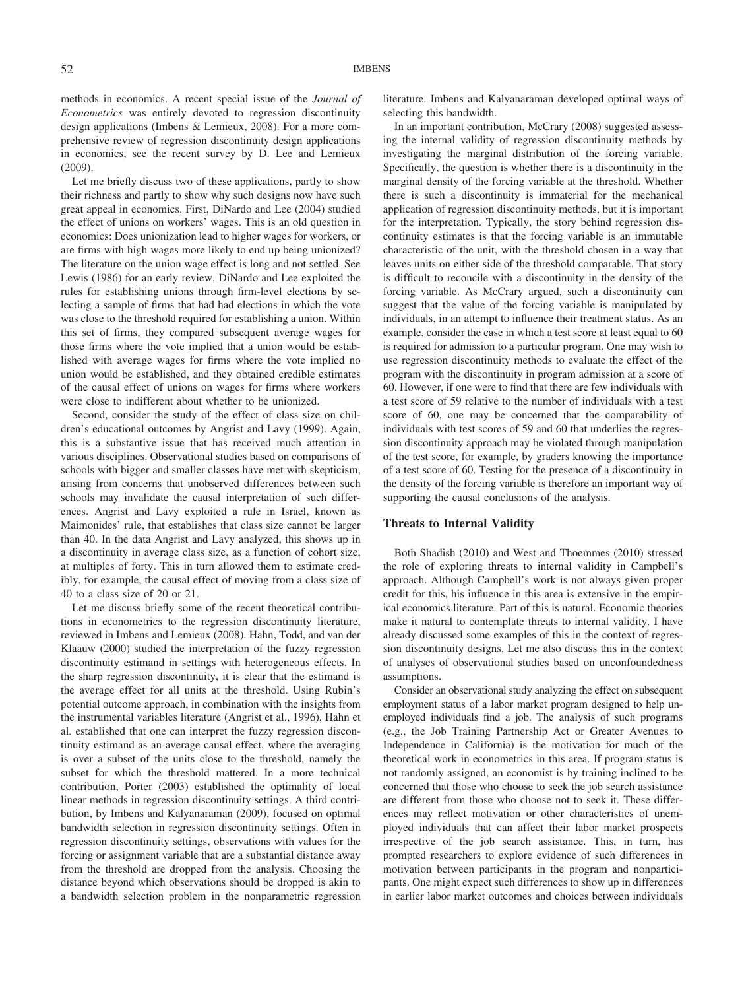methods in economics. A recent special issue of the *Journal of Econometrics* was entirely devoted to regression discontinuity design applications (Imbens & Lemieux, 2008). For a more comprehensive review of regression discontinuity design applications in economics, see the recent survey by D. Lee and Lemieux (2009).

Let me briefly discuss two of these applications, partly to show their richness and partly to show why such designs now have such great appeal in economics. First, DiNardo and Lee (2004) studied the effect of unions on workers' wages. This is an old question in economics: Does unionization lead to higher wages for workers, or are firms with high wages more likely to end up being unionized? The literature on the union wage effect is long and not settled. See Lewis (1986) for an early review. DiNardo and Lee exploited the rules for establishing unions through firm-level elections by selecting a sample of firms that had had elections in which the vote was close to the threshold required for establishing a union. Within this set of firms, they compared subsequent average wages for those firms where the vote implied that a union would be established with average wages for firms where the vote implied no union would be established, and they obtained credible estimates of the causal effect of unions on wages for firms where workers were close to indifferent about whether to be unionized.

Second, consider the study of the effect of class size on children's educational outcomes by Angrist and Lavy (1999). Again, this is a substantive issue that has received much attention in various disciplines. Observational studies based on comparisons of schools with bigger and smaller classes have met with skepticism, arising from concerns that unobserved differences between such schools may invalidate the causal interpretation of such differences. Angrist and Lavy exploited a rule in Israel, known as Maimonides' rule, that establishes that class size cannot be larger than 40. In the data Angrist and Lavy analyzed, this shows up in a discontinuity in average class size, as a function of cohort size, at multiples of forty. This in turn allowed them to estimate credibly, for example, the causal effect of moving from a class size of 40 to a class size of 20 or 21.

Let me discuss briefly some of the recent theoretical contributions in econometrics to the regression discontinuity literature, reviewed in Imbens and Lemieux (2008). Hahn, Todd, and van der Klaauw (2000) studied the interpretation of the fuzzy regression discontinuity estimand in settings with heterogeneous effects. In the sharp regression discontinuity, it is clear that the estimand is the average effect for all units at the threshold. Using Rubin's potential outcome approach, in combination with the insights from the instrumental variables literature (Angrist et al., 1996), Hahn et al. established that one can interpret the fuzzy regression discontinuity estimand as an average causal effect, where the averaging is over a subset of the units close to the threshold, namely the subset for which the threshold mattered. In a more technical contribution, Porter (2003) established the optimality of local linear methods in regression discontinuity settings. A third contribution, by Imbens and Kalyanaraman (2009), focused on optimal bandwidth selection in regression discontinuity settings. Often in regression discontinuity settings, observations with values for the forcing or assignment variable that are a substantial distance away from the threshold are dropped from the analysis. Choosing the distance beyond which observations should be dropped is akin to a bandwidth selection problem in the nonparametric regression literature. Imbens and Kalyanaraman developed optimal ways of selecting this bandwidth.

In an important contribution, McCrary (2008) suggested assessing the internal validity of regression discontinuity methods by investigating the marginal distribution of the forcing variable. Specifically, the question is whether there is a discontinuity in the marginal density of the forcing variable at the threshold. Whether there is such a discontinuity is immaterial for the mechanical application of regression discontinuity methods, but it is important for the interpretation. Typically, the story behind regression discontinuity estimates is that the forcing variable is an immutable characteristic of the unit, with the threshold chosen in a way that leaves units on either side of the threshold comparable. That story is difficult to reconcile with a discontinuity in the density of the forcing variable. As McCrary argued, such a discontinuity can suggest that the value of the forcing variable is manipulated by individuals, in an attempt to influence their treatment status. As an example, consider the case in which a test score at least equal to 60 is required for admission to a particular program. One may wish to use regression discontinuity methods to evaluate the effect of the program with the discontinuity in program admission at a score of 60. However, if one were to find that there are few individuals with a test score of 59 relative to the number of individuals with a test score of 60, one may be concerned that the comparability of individuals with test scores of 59 and 60 that underlies the regression discontinuity approach may be violated through manipulation of the test score, for example, by graders knowing the importance of a test score of 60. Testing for the presence of a discontinuity in the density of the forcing variable is therefore an important way of supporting the causal conclusions of the analysis.

#### **Threats to Internal Validity**

Both Shadish (2010) and West and Thoemmes (2010) stressed the role of exploring threats to internal validity in Campbell's approach. Although Campbell's work is not always given proper credit for this, his influence in this area is extensive in the empirical economics literature. Part of this is natural. Economic theories make it natural to contemplate threats to internal validity. I have already discussed some examples of this in the context of regression discontinuity designs. Let me also discuss this in the context of analyses of observational studies based on unconfoundedness assumptions.

Consider an observational study analyzing the effect on subsequent employment status of a labor market program designed to help unemployed individuals find a job. The analysis of such programs (e.g., the Job Training Partnership Act or Greater Avenues to Independence in California) is the motivation for much of the theoretical work in econometrics in this area. If program status is not randomly assigned, an economist is by training inclined to be concerned that those who choose to seek the job search assistance are different from those who choose not to seek it. These differences may reflect motivation or other characteristics of unemployed individuals that can affect their labor market prospects irrespective of the job search assistance. This, in turn, has prompted researchers to explore evidence of such differences in motivation between participants in the program and nonparticipants. One might expect such differences to show up in differences in earlier labor market outcomes and choices between individuals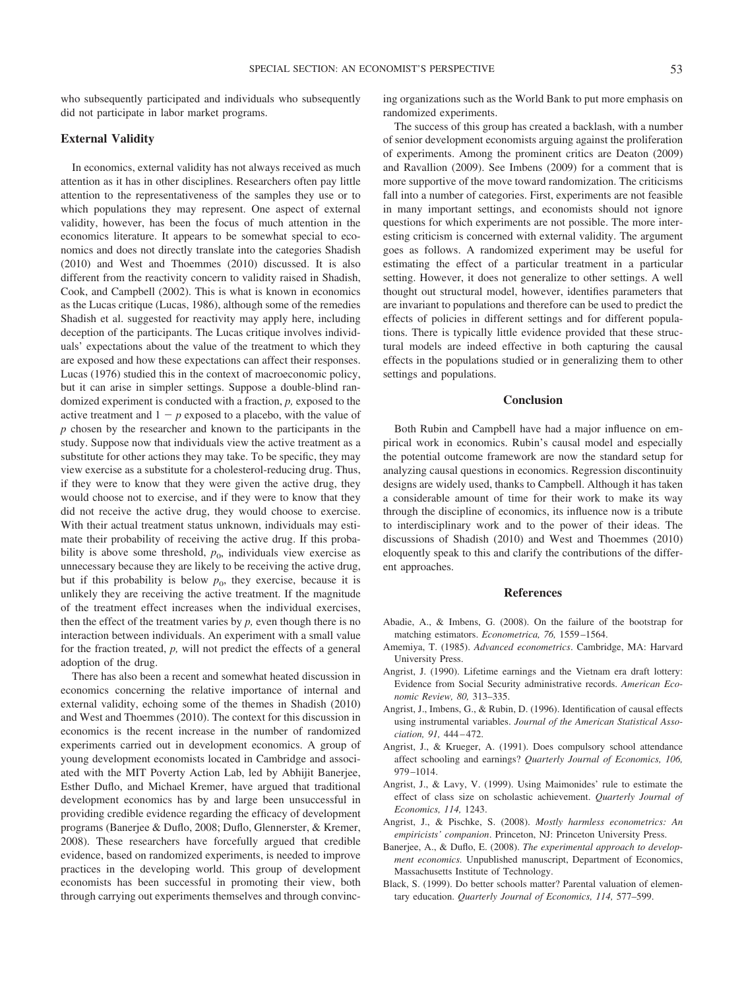who subsequently participated and individuals who subsequently did not participate in labor market programs.

#### **External Validity**

In economics, external validity has not always received as much attention as it has in other disciplines. Researchers often pay little attention to the representativeness of the samples they use or to which populations they may represent. One aspect of external validity, however, has been the focus of much attention in the economics literature. It appears to be somewhat special to economics and does not directly translate into the categories Shadish (2010) and West and Thoemmes (2010) discussed. It is also different from the reactivity concern to validity raised in Shadish, Cook, and Campbell (2002). This is what is known in economics as the Lucas critique (Lucas, 1986), although some of the remedies Shadish et al. suggested for reactivity may apply here, including deception of the participants. The Lucas critique involves individuals' expectations about the value of the treatment to which they are exposed and how these expectations can affect their responses. Lucas (1976) studied this in the context of macroeconomic policy, but it can arise in simpler settings. Suppose a double-blind randomized experiment is conducted with a fraction, *p,* exposed to the active treatment and  $1 - p$  exposed to a placebo, with the value of *p* chosen by the researcher and known to the participants in the study. Suppose now that individuals view the active treatment as a substitute for other actions they may take. To be specific, they may view exercise as a substitute for a cholesterol-reducing drug. Thus, if they were to know that they were given the active drug, they would choose not to exercise, and if they were to know that they did not receive the active drug, they would choose to exercise. With their actual treatment status unknown, individuals may estimate their probability of receiving the active drug. If this probability is above some threshold,  $p_0$ , individuals view exercise as unnecessary because they are likely to be receiving the active drug, but if this probability is below  $p_0$ , they exercise, because it is unlikely they are receiving the active treatment. If the magnitude of the treatment effect increases when the individual exercises, then the effect of the treatment varies by *p,* even though there is no interaction between individuals. An experiment with a small value for the fraction treated, *p,* will not predict the effects of a general adoption of the drug.

There has also been a recent and somewhat heated discussion in economics concerning the relative importance of internal and external validity, echoing some of the themes in Shadish (2010) and West and Thoemmes (2010). The context for this discussion in economics is the recent increase in the number of randomized experiments carried out in development economics. A group of young development economists located in Cambridge and associated with the MIT Poverty Action Lab, led by Abhijit Banerjee, Esther Duflo, and Michael Kremer, have argued that traditional development economics has by and large been unsuccessful in providing credible evidence regarding the efficacy of development programs (Banerjee & Duflo, 2008; Duflo, Glennerster, & Kremer, 2008). These researchers have forcefully argued that credible evidence, based on randomized experiments, is needed to improve practices in the developing world. This group of development economists has been successful in promoting their view, both through carrying out experiments themselves and through convincing organizations such as the World Bank to put more emphasis on randomized experiments.

The success of this group has created a backlash, with a number of senior development economists arguing against the proliferation of experiments. Among the prominent critics are Deaton (2009) and Ravallion (2009). See Imbens (2009) for a comment that is more supportive of the move toward randomization. The criticisms fall into a number of categories. First, experiments are not feasible in many important settings, and economists should not ignore questions for which experiments are not possible. The more interesting criticism is concerned with external validity. The argument goes as follows. A randomized experiment may be useful for estimating the effect of a particular treatment in a particular setting. However, it does not generalize to other settings. A well thought out structural model, however, identifies parameters that are invariant to populations and therefore can be used to predict the effects of policies in different settings and for different populations. There is typically little evidence provided that these structural models are indeed effective in both capturing the causal effects in the populations studied or in generalizing them to other settings and populations.

# **Conclusion**

Both Rubin and Campbell have had a major influence on empirical work in economics. Rubin's causal model and especially the potential outcome framework are now the standard setup for analyzing causal questions in economics. Regression discontinuity designs are widely used, thanks to Campbell. Although it has taken a considerable amount of time for their work to make its way through the discipline of economics, its influence now is a tribute to interdisciplinary work and to the power of their ideas. The discussions of Shadish (2010) and West and Thoemmes (2010) eloquently speak to this and clarify the contributions of the different approaches.

# **References**

- Abadie, A., & Imbens, G. (2008). On the failure of the bootstrap for matching estimators. *Econometrica, 76,* 1559–1564.
- Amemiya, T. (1985). *Advanced econometrics*. Cambridge, MA: Harvard University Press.
- Angrist, J. (1990). Lifetime earnings and the Vietnam era draft lottery: Evidence from Social Security administrative records. *American Economic Review, 80,* 313–335.
- Angrist, J., Imbens, G., & Rubin, D. (1996). Identification of causal effects using instrumental variables. *Journal of the American Statistical Association, 91,* 444–472.
- Angrist, J., & Krueger, A. (1991). Does compulsory school attendance affect schooling and earnings? *Quarterly Journal of Economics, 106,* 979–1014.
- Angrist, J., & Lavy, V. (1999). Using Maimonides' rule to estimate the effect of class size on scholastic achievement. *Quarterly Journal of Economics, 114,* 1243.
- Angrist, J., & Pischke, S. (2008). *Mostly harmless econometrics: An empiricists' companion*. Princeton, NJ: Princeton University Press.
- Banerjee, A., & Duflo, E. (2008). *The experimental approach to development economics.* Unpublished manuscript, Department of Economics, Massachusetts Institute of Technology.
- Black, S. (1999). Do better schools matter? Parental valuation of elementary education. *Quarterly Journal of Economics, 114,* 577–599.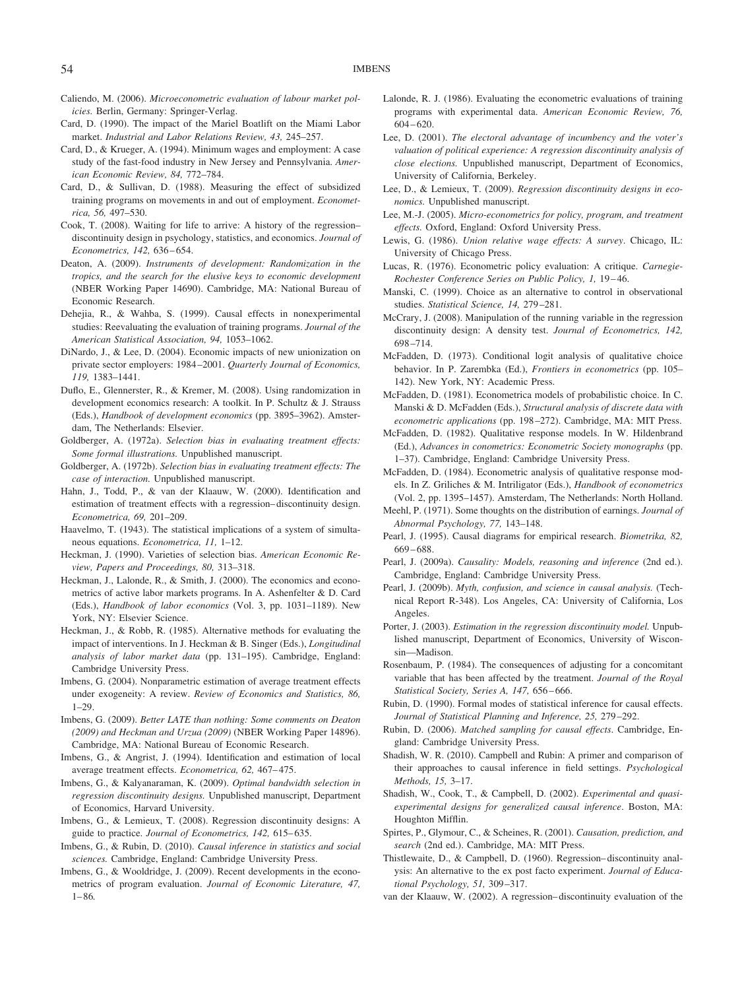- Caliendo, M. (2006). *Microeconometric evaluation of labour market policies.* Berlin, Germany: Springer-Verlag.
- Card, D. (1990). The impact of the Mariel Boatlift on the Miami Labor market. *Industrial and Labor Relations Review, 43,* 245–257.
- Card, D., & Krueger, A. (1994). Minimum wages and employment: A case study of the fast-food industry in New Jersey and Pennsylvania. *American Economic Review, 84,* 772–784.
- Card, D., & Sullivan, D. (1988). Measuring the effect of subsidized training programs on movements in and out of employment. *Econometrica, 56,* 497–530.
- Cook, T. (2008). Waiting for life to arrive: A history of the regression– discontinuity design in psychology, statistics, and economics. *Journal of Econometrics, 142,* 636–654.
- Deaton, A. (2009). *Instruments of development: Randomization in the tropics, and the search for the elusive keys to economic development* (NBER Working Paper 14690). Cambridge, MA: National Bureau of Economic Research.
- Dehejia, R., & Wahba, S. (1999). Causal effects in nonexperimental studies: Reevaluating the evaluation of training programs. *Journal of the American Statistical Association, 94,* 1053–1062.
- DiNardo, J., & Lee, D. (2004). Economic impacts of new unionization on private sector employers: 1984–2001. *Quarterly Journal of Economics, 119,* 1383–1441.
- Duflo, E., Glennerster, R., & Kremer, M. (2008). Using randomization in development economics research: A toolkit. In P. Schultz & J. Strauss (Eds.), *Handbook of development economics* (pp. 3895–3962). Amsterdam, The Netherlands: Elsevier.
- Goldberger, A. (1972a). *Selection bias in evaluating treatment effects: Some formal illustrations.* Unpublished manuscript.
- Goldberger, A. (1972b). *Selection bias in evaluating treatment effects: The case of interaction.* Unpublished manuscript.
- Hahn, J., Todd, P., & van der Klaauw, W. (2000). Identification and estimation of treatment effects with a regression–discontinuity design. *Econometrica, 69,* 201–209.
- Haavelmo, T. (1943). The statistical implications of a system of simultaneous equations. *Econometrica, 11,* 1–12.
- Heckman, J. (1990). Varieties of selection bias. *American Economic Review, Papers and Proceedings, 80,* 313–318.
- Heckman, J., Lalonde, R., & Smith, J. (2000). The economics and econometrics of active labor markets programs. In A. Ashenfelter & D. Card (Eds.), *Handbook of labor economics* (Vol. 3, pp. 1031–1189). New York, NY: Elsevier Science.
- Heckman, J., & Robb, R. (1985). Alternative methods for evaluating the impact of interventions. In J. Heckman & B. Singer (Eds.), *Longitudinal analysis of labor market data* (pp. 131–195). Cambridge, England: Cambridge University Press.
- Imbens, G. (2004). Nonparametric estimation of average treatment effects under exogeneity: A review. *Review of Economics and Statistics, 86,* 1–29.
- Imbens, G. (2009). *Better LATE than nothing: Some comments on Deaton (2009) and Heckman and Urzua (2009)* (NBER Working Paper 14896). Cambridge, MA: National Bureau of Economic Research.
- Imbens, G., & Angrist, J. (1994). Identification and estimation of local average treatment effects. *Econometrica, 62,* 467–475.
- Imbens, G., & Kalyanaraman, K. (2009). *Optimal bandwidth selection in regression discontinuity designs.* Unpublished manuscript, Department of Economics, Harvard University.
- Imbens, G., & Lemieux, T. (2008). Regression discontinuity designs: A guide to practice. *Journal of Econometrics, 142,* 615–635.
- Imbens, G., & Rubin, D. (2010). *Causal inference in statistics and social sciences.* Cambridge, England: Cambridge University Press.
- Imbens, G., & Wooldridge, J. (2009). Recent developments in the econometrics of program evaluation. *Journal of Economic Literature, 47,* 1–86*.*
- Lalonde, R. J. (1986). Evaluating the econometric evaluations of training programs with experimental data. *American Economic Review, 76,* 604–620.
- Lee, D. (2001). *The electoral advantage of incumbency and the voter's valuation of political experience: A regression discontinuity analysis of close elections.* Unpublished manuscript, Department of Economics, University of California, Berkeley.
- Lee, D., & Lemieux, T. (2009). *Regression discontinuity designs in economics.* Unpublished manuscript.
- Lee, M.-J. (2005). *Micro-econometrics for policy, program, and treatment effects.* Oxford, England: Oxford University Press.
- Lewis, G. (1986). *Union relative wage effects: A survey*. Chicago, IL: University of Chicago Press.
- Lucas, R. (1976). Econometric policy evaluation: A critique. *Carnegie-Rochester Conference Series on Public Policy, 1,* 19–46.
- Manski, C. (1999). Choice as an alternative to control in observational studies. *Statistical Science, 14,* 279–281.
- McCrary, J. (2008). Manipulation of the running variable in the regression discontinuity design: A density test. *Journal of Econometrics, 142,* 698–714.
- McFadden, D. (1973). Conditional logit analysis of qualitative choice behavior. In P. Zarembka (Ed.), *Frontiers in econometrics* (pp. 105– 142). New York, NY: Academic Press.
- McFadden, D. (1981). Econometrica models of probabilistic choice. In C. Manski & D. McFadden (Eds.), *Structural analysis of discrete data with econometric applications* (pp. 198–272). Cambridge, MA: MIT Press.
- McFadden, D. (1982). Qualitative response models. In W. Hildenbrand (Ed.), *Advances in conometrics: Econometric Society monographs* (pp. 1–37). Cambridge, England: Cambridge University Press.
- McFadden, D. (1984). Econometric analysis of qualitative response models. In Z. Griliches & M. Intriligator (Eds.), *Handbook of econometrics* (Vol. 2, pp. 1395–1457). Amsterdam, The Netherlands: North Holland.
- Meehl, P. (1971). Some thoughts on the distribution of earnings. *Journal of Abnormal Psychology, 77,* 143–148.
- Pearl, J. (1995). Causal diagrams for empirical research. *Biometrika, 82,* 669–688.
- Pearl, J. (2009a). *Causality: Models, reasoning and inference* (2nd ed.). Cambridge, England: Cambridge University Press.
- Pearl, J. (2009b). *Myth, confusion, and science in causal analysis.* (Technical Report R-348). Los Angeles, CA: University of California, Los Angeles.
- Porter, J. (2003). *Estimation in the regression discontinuity model.* Unpublished manuscript, Department of Economics, University of Wisconsin—Madison.
- Rosenbaum, P. (1984). The consequences of adjusting for a concomitant variable that has been affected by the treatment. *Journal of the Royal Statistical Society, Series A, 147,* 656–666.
- Rubin, D. (1990). Formal modes of statistical inference for causal effects. *Journal of Statistical Planning and Inference, 25,* 279–292.
- Rubin, D. (2006). *Matched sampling for causal effects*. Cambridge, England: Cambridge University Press.
- Shadish, W. R. (2010). Campbell and Rubin: A primer and comparison of their approaches to causal inference in field settings. *Psychological Methods, 15,* 3–17.
- Shadish, W., Cook, T., & Campbell, D. (2002). *Experimental and quasiexperimental designs for generalized causal inference*. Boston, MA: Houghton Mifflin.
- Spirtes, P., Glymour, C., & Scheines, R. (2001). *Causation, prediction, and search* (2nd ed.). Cambridge, MA: MIT Press.
- Thistlewaite, D., & Campbell, D. (1960). Regression–discontinuity analysis: An alternative to the ex post facto experiment. *Journal of Educational Psychology, 51,* 309–317.
- van der Klaauw, W. (2002). A regression–discontinuity evaluation of the